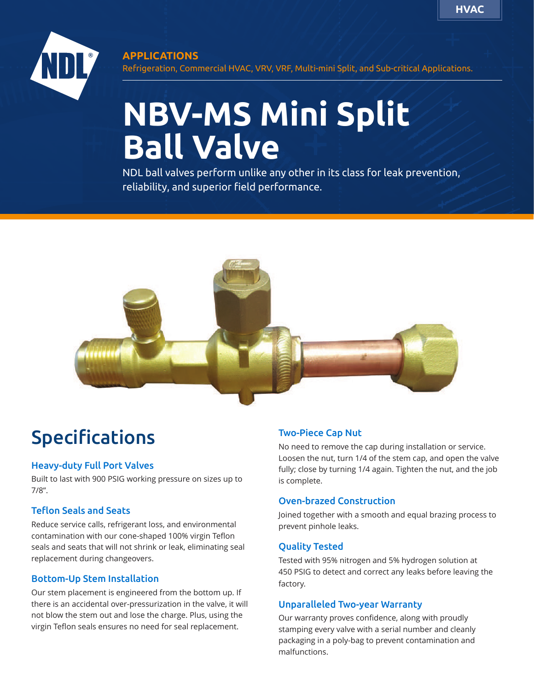

#### **APPLICATIONS**

Refrigeration, Commercial HVAC, VRV, VRF, Multi-mini Split, and Sub-critical Applications.

# **NBV-MS Mini Split Ball Valve**

NDL ball valves perform unlike any other in its class for leak prevention, reliability, and superior field performance.



# Specifications

#### Heavy-duty Full Port Valves

Built to last with 900 PSIG working pressure on sizes up to 7/8".

#### Teflon Seals and Seats

Reduce service calls, refrigerant loss, and environmental contamination with our cone-shaped 100% virgin Teflon seals and seats that will not shrink or leak, eliminating seal replacement during changeovers.

#### Bottom-Up Stem Installation

Our stem placement is engineered from the bottom up. If there is an accidental over-pressurization in the valve, it will not blow the stem out and lose the charge. Plus, using the virgin Teflon seals ensures no need for seal replacement.

#### Two-Piece Cap Nut

No need to remove the cap during installation or service. Loosen the nut, turn 1/4 of the stem cap, and open the valve fully; close by turning 1/4 again. Tighten the nut, and the job is complete.

#### Oven-brazed Construction

Joined together with a smooth and equal brazing process to prevent pinhole leaks.

#### Quality Tested

Tested with 95% nitrogen and 5% hydrogen solution at 450 PSIG to detect and correct any leaks before leaving the factory.

#### Unparalleled Two-year Warranty

Our warranty proves confidence, along with proudly stamping every valve with a serial number and cleanly packaging in a poly-bag to prevent contamination and malfunctions.